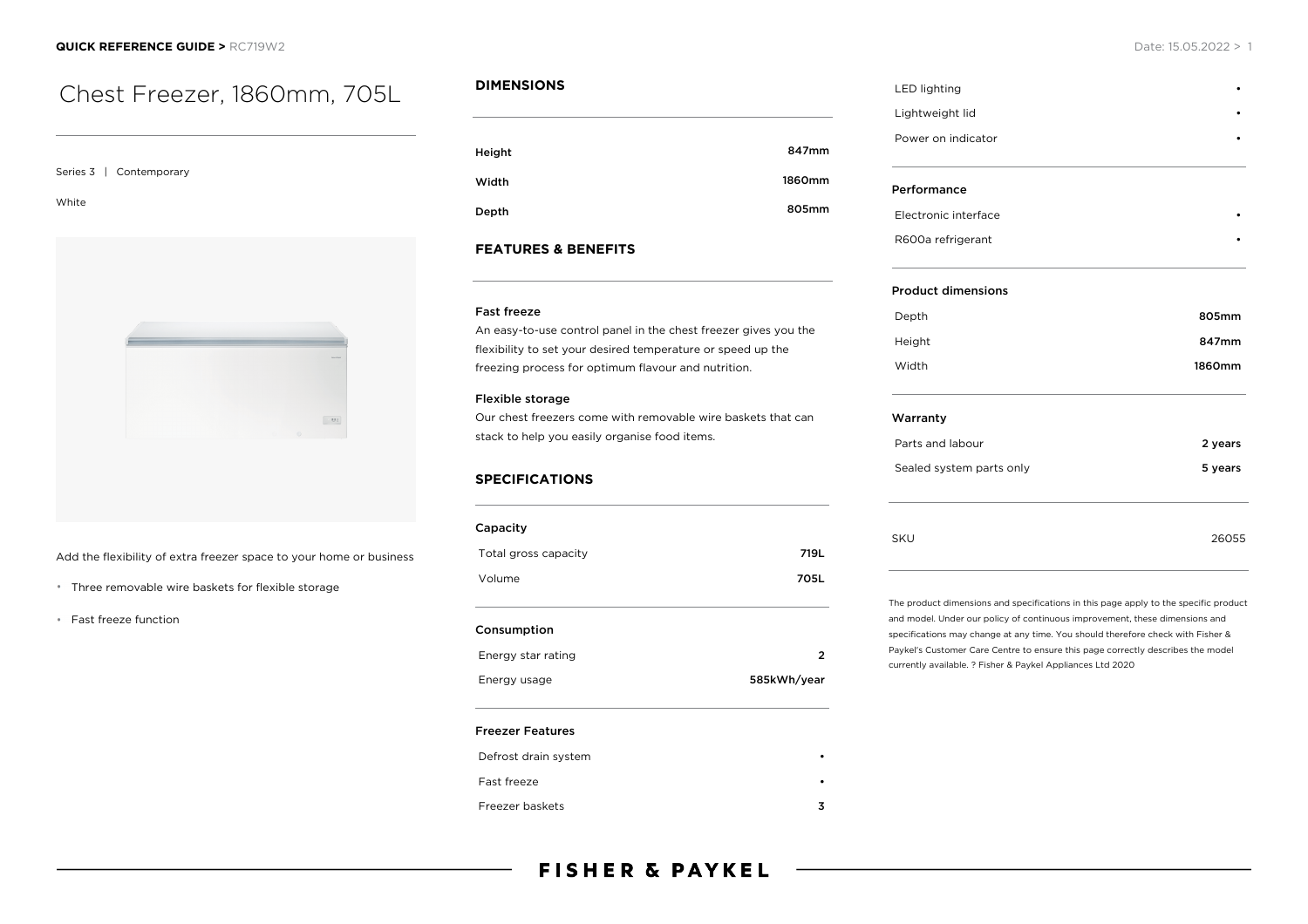# Chest Freezer, 1860mm, 705L

#### Series 3 | Contemporary

White



Add the flexibility of extra freezer space to your home or business

- Three removable wire baskets for flexible storage
- Fast freeze function

## **DIMENSIONS**

| Height | 847mm  |
|--------|--------|
| Width  | 1860mm |
| Depth  | 805mm  |

### **FEATURES & BENEFITS**

#### Fast freeze

An easy-to-use control panel in the chest freezer gives you the flexibility to set your desired temperature or speed up the freezing process for optimum flavour and nutrition.

#### Flexible storage

Our chest freezers come with removable wire baskets that can stack to help you easily organise food items.

### **SPECIFICATIONS**

| Capacity             |      |
|----------------------|------|
| Total gross capacity | 719L |
| Volume               | 705L |
|                      |      |

#### Consumption

| Energy star rating |             |
|--------------------|-------------|
| Energy usage       | 585kWh/year |

#### Freezer Features

| Defrost drain system |  |
|----------------------|--|
| Fast freeze          |  |
| Freezer baskets      |  |

# LED lighting Lightweight lid • Power on indicator Performance Electronic interface • R600a refrigerant

#### Product dimensions

| Depth  | 805mm  |
|--------|--------|
| Height | 847mm  |
| Width  | 1860mm |

#### Warranty

| Parts and labour         | 2 years |
|--------------------------|---------|
| Sealed system parts only | 5 years |
|                          |         |
|                          |         |

SKU 26055

The product dimensions and specifications in this page apply to the specific product and model. Under our policy of continuous improvement, these dimensions and

specifications may change at any time. You should therefore check with Fisher & Paykel's Customer Care Centre to ensure this page correctly describes the model currently available. ? Fisher & Paykel Appliances Ltd 2020

# **FISHER & PAYKEL**